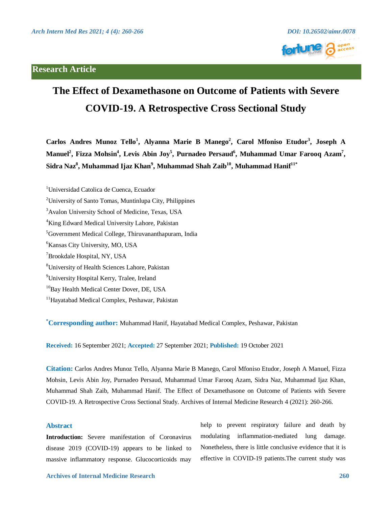# **Research Article**





# **The Effect of Dexamethasone on Outcome of Patients with Severe COVID-19. A Retrospective Cross Sectional Study**

**Carlos Andres Munoz Tello<sup>1</sup> , Alyanna Marie B Manego<sup>2</sup> , Carol Mfoniso Etudor<sup>3</sup> , Joseph A** Manuel<sup>2</sup>, Fizza Mohsin<sup>4</sup>, Levis Abin Joy<sup>5</sup>, Purnadeo Persaud<sup>6</sup>, Muhammad Umar Farooq Azam<sup>7</sup>,  $\mathbf{S}$ idra Naz $^{\mathbf{8}},\mathbf{M}$ uhammad Ijaz Khan $^{\mathbf{9}},\mathbf{M}$ uhammad Shah Zaib $^{10},\mathbf{M}$ uhammad Hanif $^{11\ast}$ 

<sup>1</sup>Universidad Catolica de Cuenca, Ecuador

4 King Edward Medical University Lahore, Pakistan

- 6 Kansas City University, MO, USA
- 7 Brookdale Hospital, NY, USA
- 8 University of Health Sciences Lahore, Pakistan
- <sup>9</sup>University Hospital Kerry, Tralee, Ireland
- <sup>10</sup>Bay Health Medical Center Dover, DE, USA
- <sup>11</sup>Hayatabad Medical Complex, Peshawar, Pakistan

**\* Corresponding author:** Muhammad Hanif, Hayatabad Medical Complex, Peshawar, Pakistan

**Received:** 16 September 2021; **Accepted:** 27 September 2021; **Published:** 19 October 2021

**Citation:** Carlos Andres Munoz Tello, Alyanna Marie B Manego, Carol Mfoniso Etudor, Joseph A Manuel, Fizza Mohsin, Levis Abin Joy, Purnadeo Persaud, Muhammad Umar Farooq Azam, Sidra Naz, Muhammad Ijaz Khan, Muhammad Shah Zaib, Muhammad Hanif. The Effect of Dexamethasone on Outcome of Patients with Severe COVID-19. A Retrospective Cross Sectional Study. Archives of Internal Medicine Research 4 (2021): 260-266.

# **Abstract**

**Introduction:** Severe manifestation of Coronavirus disease 2019 (COVID-19) appears to be linked to massive inflammatory response. Glucocorticoids may help to prevent respiratory failure and death by modulating inflammation-mediated lung damage. Nonetheless, there is little conclusive evidence that it is effective in COVID-19 patients.The current study was

<sup>&</sup>lt;sup>2</sup> University of Santo Tomas, Muntinlupa City, Philippines

<sup>&</sup>lt;sup>3</sup> Avalon University School of Medicine, Texas, USA

<sup>5</sup> Government Medical College, Thiruvananthapuram, India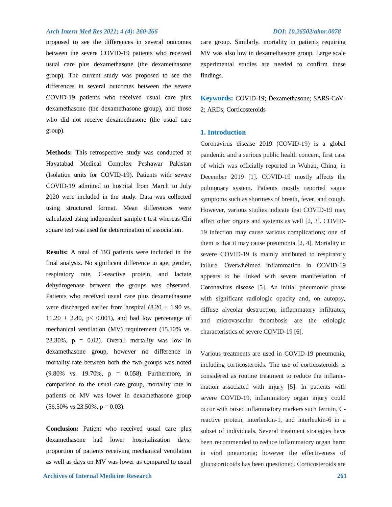proposed to see the differences in several outcomes between the severe COVID-19 patients who received usual care plus dexamethasone (the dexamethasone group), The current study was proposed to see the differences in several outcomes between the severe COVID-19 patients who received usual care plus dexamethasone (the dexamethasone group), and those who did not receive dexamethasone (the usual care group).

**Methods:** This retrospective study was conducted at Hayatabad Medical Complex Peshawar Pakistan (Isolation units for COVID-19). Patients with severe COVID-19 admitted to hospital from March to July 2020 were included in the study. Data was collected using structured format. Mean differences were calculated using independent sample t test whereas Chi square test was used for determination of association.

**Results:** A total of 193 patients were included in the final analysis. No significant difference in age, gender, respiratory rate, C-reactive protein, and lactate dehydrogenase between the groups was observed. Patients who received usual care plus dexamethasone were discharged earlier from hospital  $(8.20 \pm 1.90 \text{ vs.})$  $11.20 \pm 2.40$ , p< 0.001), and had low percentage of mechanical ventilation (MV) requirement (15.10% vs. 28.30%,  $p = 0.02$ ). Overall mortality was low in dexamethasone group, however no difference in mortality rate between both the two groups was noted (9.80% vs. 19.70%, p = 0.058). Furthermore, in comparison to the usual care group, mortality rate in patients on MV was lower in dexamethasone group  $(56.50\% \text{ vs. } 23.50\%, \text{ p} = 0.03).$ 

**Conclusion:** Patient who received usual care plus dexamethasone had lower hospitalization days; proportion of patients receiving mechanical ventilation as well as days on MV was lower as compared to usual

care group. Similarly, mortality in patients requiring MV was also low in dexamethasone group. Large scale experimental studies are needed to confirm these findings.

**Keywords:** COVID-19; Dexamethasone; SARS-CoV-2; ARDs; Corticosteroids

#### **1. Introduction**

Coronavirus disease 2019 (COVID-19) is a global pandemic and a serious public health concern, first case of which was officially reported in Wuhan, China, in December 2019 [1]. COVID-19 mostly affects the pulmonary system. Patients mostly reported vague symptoms such as shortness of breath, fever, and cough. However, various studies indicate that COVID-19 may affect other organs and systems as well [2, 3]. COVID-19 infection may cause various complications; one of them is that it may cause pneumonia [2, 4]. Mortality in severe COVID-19 is mainly attributed to respiratory failure. Overwhelmed inflammation in COVID-19 appears to be linked with severe manifestation of Coronavirus disease [5]. An initial pneumonic phase with significant radiologic opacity and, on autopsy, diffuse alveolar destruction, inflammatory infiltrates, and microvascular thrombosis are the etiologic characteristics of severe COVID-19 [6].

Various treatments are used in COVID-19 pneumonia, including corticosteroids. The use of corticosteroids is considered as routine treatment to reduce the inflamemation associated with injury [5]. In patients with severe COVID-19, inflammatory organ injury could occur with raised inflammatory markers such ferritin, Creactive protein, interleukin-1, and interleukin-6 in a subset of individuals. Several treatment strategies have been recommended to reduce inflammatory organ harm in viral pneumonia; however the effectiveness of glucocorticoids has been questioned. Corticosteroids are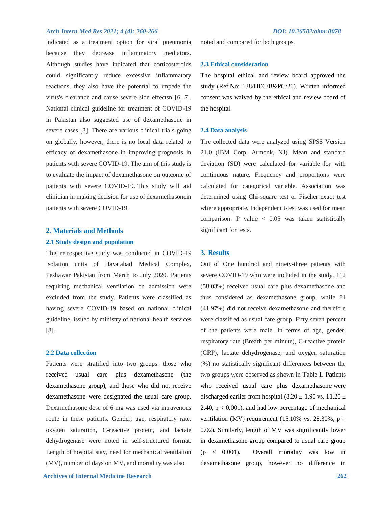indicated as a treatment option for viral pneumonia because they decrease inflammatory mediators. Although studies have indicated that corticosteroids could significantly reduce excessive inflammatory reactions, they also have the potential to impede the virus's clearance and cause severe side effectsn [6, 7]. National clinical guideline for treatment of COVID-19 in Pakistan also suggested use of dexamethasone in severe cases [8]. There are various clinical trials going on globally, however, there is no local data related to efficacy of dexamethasone in improving prognosis in patients with severe COVID-19. The aim of this study is to evaluate the impact of dexamethasone on outcome of patients with severe COVID-19. This study will aid clinician in making decision for use of dexamethasonein patients with severe COVID-19.

# **2. Materials and Methods**

## **2.1 Study design and population**

This retrospective study was conducted in COVID-19 isolation units of Hayatabad Medical Complex, Peshawar Pakistan from March to July 2020. Patients requiring mechanical ventilation on admission were excluded from the study. Patients were classified as having severe COVID-19 based on national clinical guideline, issued by ministry of national health services [8].

## **2.2 Data collection**

Patients were stratified into two groups: those who received usual care plus dexamethasone (the dexamethasone group), and those who did not receive dexamethasone were designated the usual care group. Dexamethasone dose of 6 mg was used via intravenous route in these patients. Gender, age, respiratory rate, oxygen saturation, C-reactive protein, and lactate dehydrogenase were noted in self-structured format. Length of hospital stay, need for mechanical ventilation (MV), number of days on MV, and mortality was also

noted and compared for both groups.

#### **2.3 Ethical consideration**

The hospital ethical and review board approved the study (Ref.No: 138/HEC/B&PC/21). Written informed consent was waived by the ethical and review board of the hospital.

#### **2.4 Data analysis**

The collected data were analyzed using SPSS Version 21.0 (IBM Corp, Armonk, NJ). Mean and standard deviation (SD) were calculated for variable for with continuous nature. Frequency and proportions were calculated for categorical variable. Association was determined using Chi-square test or Fischer exact test where appropriate. Independent t-test was used for mean comparison. P value  $\langle 0.05 \rangle$  was taken statistically significant for tests.

### **3. Results**

Out of One hundred and ninety-three patients with severe COVID-19 who were included in the study, 112 (58.03%) received usual care plus dexamethasone and thus considered as dexamethasone group, while 81 (41.97%) did not receive dexamethasone and therefore were classified as usual care group. Fifty seven percent of the patients were male. In terms of age, gender, respiratory rate (Breath per minute), C-reactive protein (CRP), lactate dehydrogenase, and oxygen saturation (%) no statistically significant differences between the two groups were observed as shown in Table [1.](https://www.cureus.com/publish/articles/43949-role-of-dexamethasone-in-outcome-of-patients-with-severe-covid-19-a-retrospective-study/preview#table-anchor-155033) Patients who received usual care plus dexamethasone were discharged earlier from hospital (8.20  $\pm$  1.90 vs. 11.20  $\pm$ 2.40,  $p < 0.001$ ), and had low percentage of mechanical ventilation (MV) requirement (15.10% vs. 28.30%,  $p =$ 0.02). Similarly, length of MV was significantly lower in dexamethasone group compared to usual care group (p < 0.001). Overall mortality was low in dexamethasone group, however no difference in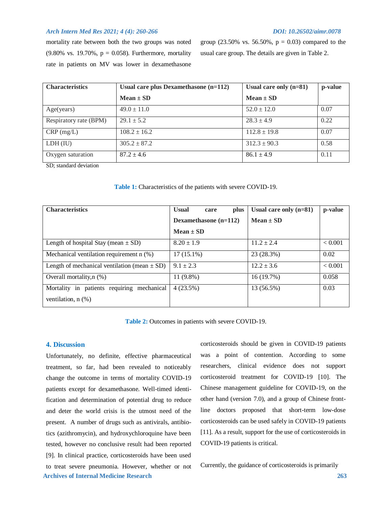mortality rate between both the two groups was noted (9.80% vs. 19.70%,  $p = 0.058$ ). Furthermore, mortality rate in patients on MV was lower in dexamethasone group (23.50% vs. 56.50%,  $p = 0.03$ ) compared to the usual care group. The details are given in Table 2.

| <b>Characteristics</b> | Usual care plus Dexamethasone $(n=112)$ | Usual care only $(n=81)$ | p-value |
|------------------------|-----------------------------------------|--------------------------|---------|
|                        | Mean $\pm$ SD                           | $Mean \pm SD$            |         |
| Age(years)             | $49.0 \pm 11.0$                         | $52.0 \pm 12.0$          | 0.07    |
| Respiratory rate (BPM) | $29.1 \pm 5.2$                          | $28.3 \pm 4.9$           | 0.22    |
| $CRP$ (mg/L)           | $108.2 \pm 16.2$                        | $112.8 \pm 19.8$         | 0.07    |
| LDH (IU)               | $305.2 \pm 87.2$                        | $312.3 \pm 90.3$         | 0.58    |
| Oxygen saturation      | $87.2 \pm 4.6$                          | $86.1 \pm 4.9$           | 0.11    |

SD; standard deviation

| Table 1: Characteristics of the patients with severe COVID-19. |  |  |
|----------------------------------------------------------------|--|--|
|----------------------------------------------------------------|--|--|

| <b>Characteristics</b>                           | <b>Usual</b><br>plus<br>care | Usual care only $(n=81)$ | p-value |
|--------------------------------------------------|------------------------------|--------------------------|---------|
|                                                  | Dexamethasone $(n=112)$      | $Mean \pm SD$            |         |
|                                                  | $Mean + SD$                  |                          |         |
| Length of hospital Stay (mean $\pm$ SD)          | $8.20 \pm 1.9$               | $11.2 \pm 2.4$           | < 0.001 |
| Mechanical ventilation requirement n (%)         | $17(15.1\%)$                 | 23 (28.3%)               | 0.02    |
| Length of mechanical ventilation (mean $\pm$ SD) | $9.1 \pm 2.3$                | $12.2 \pm 3.6$           | < 0.001 |
| Overall mortality, $n$ $%$ )                     | 11 (9.8%)                    | 16(19.7%)                | 0.058   |
| Mortality in patients requiring<br>mechanical    | 4(23.5%)                     | 13 (56.5%)               | 0.03    |
| ventilation, $n$ $(\%)$                          |                              |                          |         |

**Table 2:** Outcomes in patients with severe COVID-19.

### **4. Discussion**

 **Archives of Internal Medicine Research 263** Unfortunately, no definite, effective pharmaceutical treatment, so far, had been revealed to noticeably change the outcome in terms of mortality COVID-19 patients except for dexamethasone. Well-timed identification and determination of potential drug to reduce and deter the world crisis is the utmost need of the present. A number of drugs such as antivirals, antibiotics (azithromycin), and hydroxychloroquine have been tested, however no conclusive result had been reported [9]. In clinical practice, corticosteroids have been used to treat severe pneumonia. However, whether or not

corticosteroids should be given in COVID-19 patients was a point of contention. According to some researchers, clinical evidence does not support corticosteroid treatment for COVID-19 [10]. The Chinese management guideline for COVID-19, on the other hand (version 7.0), and a group of Chinese frontline doctors proposed that short-term low-dose corticosteroids can be used safely in COVID-19 patients [11]. As a result, support for the use of corticosteroids in COVID-19 patients is critical.

Currently, the guidance of corticosteroids is primarily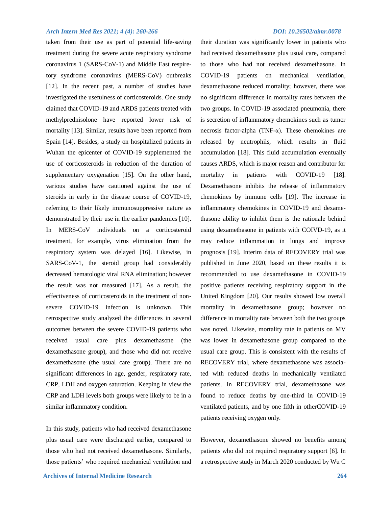taken from their use as part of potential life-saving treatment during the severe acute respiratory syndrome coronavirus 1 (SARS-CoV-1) and Middle East respiretory syndrome coronavirus (MERS-CoV) outbreaks [12]. In the recent past, a number of studies have investigated the usefulness of corticosteroids. One study claimed that COVID-19 and ARDS patients treated with methylprednisolone have reported lower risk of mortality [13]. Similar, results have been reported from Spain [14]. Besides, a study on hospitalized patients in Wuhan the epicenter of COVID-19 supplemented the use of corticosteroids in reduction of the duration of supplementary oxygenation [15]. On the other hand, various studies have cautioned against the use of steroids in early in the disease course of COVID-19, referring to their likely immunosuppressive nature as demonstrated by their use in the earlier pandemics [10]. In MERS-CoV individuals on a corticosteroid treatment, for example, virus elimination from the respiratory system was delayed [16]. Likewise, in SARS-CoV-1, the steroid group had considerably decreased hematologic viral RNA elimination; however the result was not measured [17]. As a result, the effectiveness of corticosteroids in the treatment of nonsevere COVID-19 infection is unknown. This retrospective study analyzed the differences in several outcomes between the severe COVID-19 patients who received usual care plus dexamethasone (the dexamethasone group), and those who did not receive dexamethasone (the usual care group). There are no significant differences in age, gender, respiratory rate, CRP, LDH and oxygen saturation. Keeping in view the CRP and LDH levels both groups were likely to be in a similar inflammatory condition.

In this study, patients who had received dexamethasone plus usual care were discharged earlier, compared to those who had not received dexamethasone. Similarly, those patients' who required mechanical ventilation and

their duration was significantly lower in patients who had received dexamethasone plus usual care, compared to those who had not received dexamethasone. In COVID-19 patients on mechanical ventilation, dexamethasone reduced mortality; however, there was no significant difference in mortality rates between the two groups. In COVID-19 associated pneumonia, there is secretion of inflammatory chemokines such as tumor necrosis factor-alpha (TNF-α). These chemokines are released by neutrophils, which results in fluid accumulation [18]. This fluid accumulation eventually causes ARDS, which is major reason and contributor for mortality in patients with COVID-19 [18]. Dexamethasone inhibits the release of inflammatory chemokines by immune cells [19]. The increase in inflammatory chemokines in COVID-19 and dexamethasone ability to inhibit them is the rationale behind using dexamethasone in patients with COIVD-19, as it may reduce inflammation in lungs and improve prognosis [19]. Interim data of RECOVERY trial was published in June 2020, based on these results it is recommended to use dexamethasone in COVID-19 positive patients receiving respiratory support in the United Kingdom [20]. Our results showed low overall mortality in dexamethasone group; however no difference in mortality rate between both the two groups was noted. Likewise, mortality rate in patients on MV was lower in dexamethasone group compared to the usual care group. This is consistent with the results of RECOVERY trial, where dexamethasone was associated with reduced deaths in mechanically ventilated patients. In RECOVERY trial, dexamethasone was found to reduce deaths by one-third in COVID-19 ventilated patients, and by one fifth in otherCOVID-19 patients receiving oxygen only.

However, dexamethasone showed no benefits among patients who did not required respiratory support [6]. In a retrospective study in March 2020 conducted by Wu C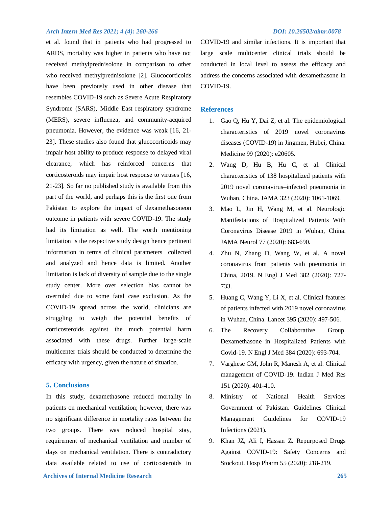et al. found that in patients who had progressed to ARDS, mortality was higher in patients who have not received methylprednisolone in comparison to other who received methylprednisolone [2]. Glucocorticoids have been previously used in other disease that resembles COVID-19 such as Severe Acute Respiratory Syndrome (SARS), Middle East respiratory syndrome (MERS), severe influenza, and community-acquired pneumonia. However, the evidence was weak [16, 21- 23]. These studies also found that glucocorticoids may impair host ability to produce response to delayed viral clearance, which has reinforced concerns that corticosteroids may impair host response to viruses [16, 21-23]. So far no published study is available from this part of the world, and perhaps this is the first one from Pakistan to explore the impact of dexamethasoneon outcome in patients with severe COVID-19. The study had its limitation as well. The worth mentioning limitation is the respective study design hence pertinent information in terms of clinical parameters collected and analyzed and hence data is limited. Another limitation is lack of diversity of sample due to the single study center. More over selection bias cannot be overruled due to some fatal case exclusion. As the COVID-19 spread across the world, clinicians are struggling to weigh the potential benefits of corticosteroids against the much potential harm associated with these drugs. Further large-scale multicenter trials should be conducted to determine the efficacy with urgency, given the nature of situation.

## **5. Conclusions**

 **Archives of Internal Medicine Research 265** In this study, dexamethasone reduced mortality in patients on mechanical ventilation; however, there was no significant difference in mortality rates between the two groups. There was reduced hospital stay, requirement of mechanical ventilation and number of days on mechanical ventilation. There is contradictory data available related to use of corticosteroids in

COVID-19 and similar infections. It is important that large scale multicenter clinical trials should be conducted in local level to assess the efficacy and address the concerns associated with dexamethasone in COVID-19.

#### **References**

- 1. Gao Q, Hu Y, Dai Z, et al. The epidemiological characteristics of 2019 novel coronavirus diseases (COVID-19) in Jingmen, Hubei, China. Medicine 99 (2020): e20605.
- 2. Wang D, Hu B, Hu C, et al. Clinical characteristics of 138 hospitalized patients with 2019 novel coronavirus–infected pneumonia in Wuhan, China. JAMA 323 (2020): 1061-1069.
- 3. Mao L, Jin H, Wang M, et al. Neurologic Manifestations of Hospitalized Patients With Coronavirus Disease 2019 in Wuhan, China. JAMA Neurol 77 (2020): 683-690.
- 4. Zhu N, Zhang D, Wang W, et al. A novel coronavirus from patients with pneumonia in China, 2019. N Engl J Med 382 (2020): 727- 733.
- 5. Huang C, Wang Y, Li X, et al. Clinical features of patients infected with 2019 novel coronavirus in Wuhan, China. Lancet 395 (2020): 497-506.
- 6. The Recovery Collaborative Group. Dexamethasone in Hospitalized Patients with Covid-19. N Engl J Med 384 (2020): 693-704.
- 7. Varghese GM, John R, Manesh A, et al. Clinical management of COVID-19. Indian J Med Res 151 (2020): 401-410.
- 8. Ministry of National Health Services Government of Pakistan. Guidelines Clinical Management Guidelines for COVID-19 Infections (2021).
- 9. Khan JZ, Ali I, Hassan Z. Repurposed Drugs Against COVID-19: Safety Concerns and Stockout. Hosp Pharm 55 (2020): 218-219.